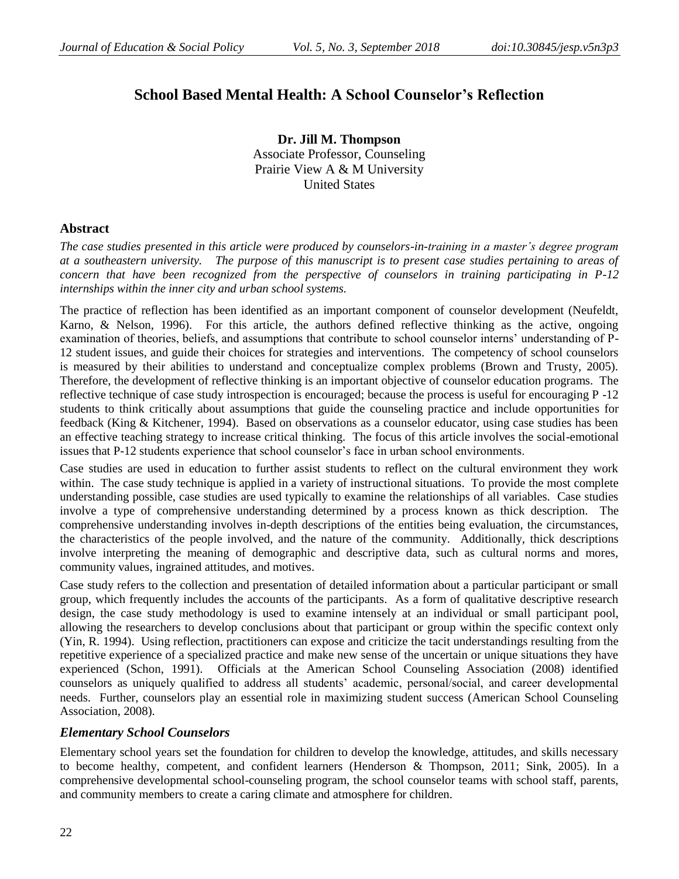# **School Based Mental Health: A School Counselor's Reflection**

**Dr. Jill M. Thompson** Associate Professor, Counseling Prairie View A & M University United States

# **Abstract**

*The case studies presented in this article were produced by counselors-in-training in a master's degree program at a southeastern university. The purpose of this manuscript is to present case studies pertaining to areas of concern that have been recognized from the perspective of counselors in training participating in P-12 internships within the inner city and urban school systems.* 

The practice of reflection has been identified as an important component of counselor development (Neufeldt, Karno, & Nelson, 1996). For this article, the authors defined reflective thinking as the active, ongoing examination of theories, beliefs, and assumptions that contribute to school counselor interns' understanding of P-12 student issues, and guide their choices for strategies and interventions. The competency of school counselors is measured by their abilities to understand and conceptualize complex problems (Brown and Trusty, 2005). Therefore, the development of reflective thinking is an important objective of counselor education programs. The reflective technique of case study introspection is encouraged; because the process is useful for encouraging P -12 students to think critically about assumptions that guide the counseling practice and include opportunities for feedback (King & Kitchener, 1994). Based on observations as a counselor educator, using case studies has been an effective teaching strategy to increase critical thinking. The focus of this article involves the social-emotional issues that P-12 students experience that school counselor's face in urban school environments.

Case studies are used in education to further assist students to reflect on the cultural environment they work within. The case study technique is applied in a variety of instructional situations. To provide the most complete understanding possible, case studies are used typically to examine the relationships of all variables. Case studies involve a type of comprehensive understanding determined by a process known as [thick description.](javascript:OpenPage() The comprehensive understanding involves in-depth descriptions of the entities being evaluation, the circumstances, the characteristics of the people involved, and the nature of the community. Additionally, thick descriptions involve interpreting the meaning of demographic and descriptive data, such as cultural norms and mores, community values, ingrained attitudes, and motives.

Case study refers to the collection and presentation of detailed information about a particular participant or small group, which frequently includes the accounts of the participants. As a form of qualitative descriptive research design, the case study methodology is used to examine intensely at an individual or small participant pool, allowing the researchers to develop conclusions about that participant or group within the specific context only (Yin, R. 1994). Using reflection, practitioners can expose and criticize the tacit understandings resulting from the repetitive experience of a specialized practice and make new sense of the uncertain or unique situations they have experienced (Schon, 1991). Officials at the American School Counseling Association (2008) identified counselors as uniquely qualified to address all students' academic, personal/social, and career developmental needs. Further, counselors play an essential role in maximizing student success (American School Counseling Association, 2008).

## *Elementary School Counselors*

Elementary school years set the foundation for children to develop the knowledge, attitudes, and skills necessary to become healthy, competent, and confident learners (Henderson & Thompson, 2011; Sink, 2005). In a comprehensive developmental school-counseling program, the school counselor teams with school staff, parents, and community members to create a caring climate and atmosphere for children.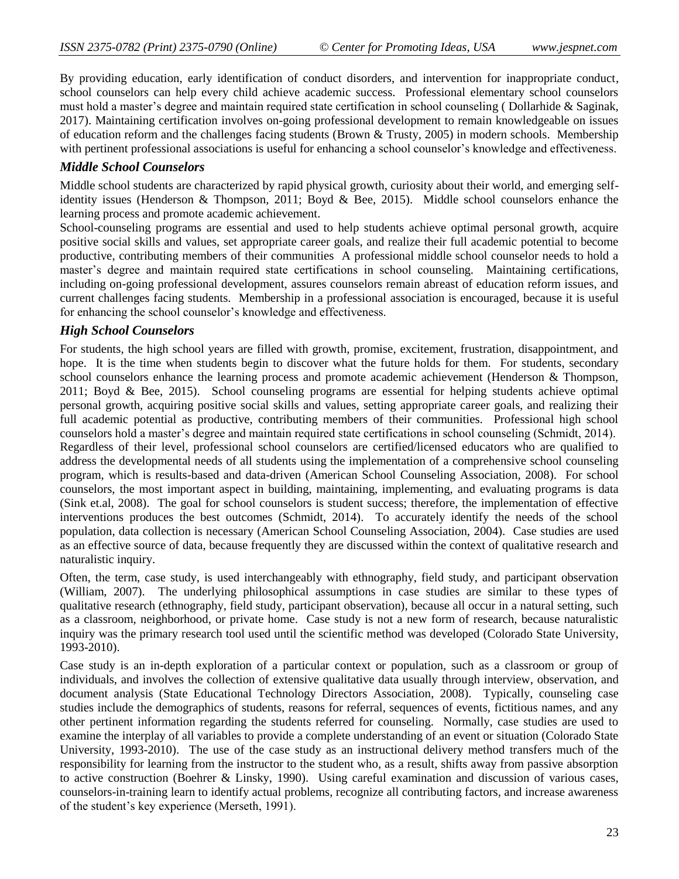By providing education, early identification of conduct disorders, and intervention for inappropriate conduct, school counselors can help every child achieve academic success. Professional elementary school counselors must hold a master's degree and maintain required state certification in school counseling ( Dollarhide & Saginak, 2017). Maintaining certification involves on-going professional development to remain knowledgeable on issues of education reform and the challenges facing students (Brown & Trusty, 2005) in modern schools. Membership with pertinent professional associations is useful for enhancing a school counselor's knowledge and effectiveness.

### *Middle School Counselors*

Middle school students are characterized by rapid physical growth, curiosity about their world, and emerging selfidentity issues (Henderson & Thompson, 2011; Boyd & Bee, 2015). Middle school counselors enhance the learning process and promote academic achievement.

School-counseling programs are essential and used to help students achieve optimal personal growth, acquire positive social skills and values, set appropriate career goals, and realize their full academic potential to become productive, contributing members of their communities A professional middle school counselor needs to hold a master's degree and maintain required state certifications in school counseling. Maintaining certifications, including on-going professional development, assures counselors remain abreast of education reform issues, and current challenges facing students. Membership in a professional association is encouraged, because it is useful for enhancing the school counselor's knowledge and effectiveness.

## *High School Counselors*

For students, the high school years are filled with growth, promise, excitement, frustration, disappointment, and hope. It is the time when students begin to discover what the future holds for them. For students, secondary school counselors enhance the learning process and promote academic achievement (Henderson & Thompson, 2011; Boyd & Bee, 2015). School counseling programs are essential for helping students achieve optimal personal growth, acquiring positive social skills and values, setting appropriate career goals, and realizing their full academic potential as productive, contributing members of their communities. Professional high school counselors hold a master's degree and maintain required state certifications in school counseling (Schmidt, 2014). Regardless of their level, professional school counselors are certified/licensed educators who are qualified to address the developmental needs of all students using the implementation of a comprehensive school counseling program, which is results-based and data-driven (American School Counseling Association, 2008). For school counselors, the most important aspect in building, maintaining, implementing, and evaluating programs is data (Sink et.al, 2008). The goal for school counselors is student success; therefore, the implementation of effective interventions produces the best outcomes (Schmidt, 2014). To accurately identify the needs of the school population, data collection is necessary (American School Counseling Association, 2004). Case studies are used as an effective source of data, because frequently they are discussed within the context of qualitative research and naturalistic inquiry.

Often, the term, case study, is used interchangeably with ethnography, field study, and participant observation (William, 2007). The underlying philosophical assumptions in case studies are similar to these types of qualitative research (ethnography, field study, participant observation), because all occur in a natural setting, such as a classroom, neighborhood, or private home. Case study is not a new form of research, because naturalistic inquiry was the primary research tool used until the scientific method was developed (Colorado State University, 1993-2010).

Case study is an in-depth exploration of a particular context or population, such as a classroom or group of individuals, and involves the collection of extensive qualitative data usually through interview, observation, and document analysis (State Educational Technology Directors Association, 2008). Typically, counseling case studies include the demographics of students, reasons for referral, sequences of events, fictitious names, and any other pertinent information regarding the students referred for counseling. Normally, case studies are used to examine the interplay of all variables to provide a complete understanding of an event or situation (Colorado State University, 1993-2010). The use of the case study as an instructional delivery method transfers much of the responsibility for learning from the instructor to the student who, as a result, shifts away from passive absorption to active construction (Boehrer & Linsky, 1990). Using careful examination and discussion of various cases, counselors-in-training learn to identify actual problems, recognize all contributing factors, and increase awareness of the student's key experience (Merseth, 1991).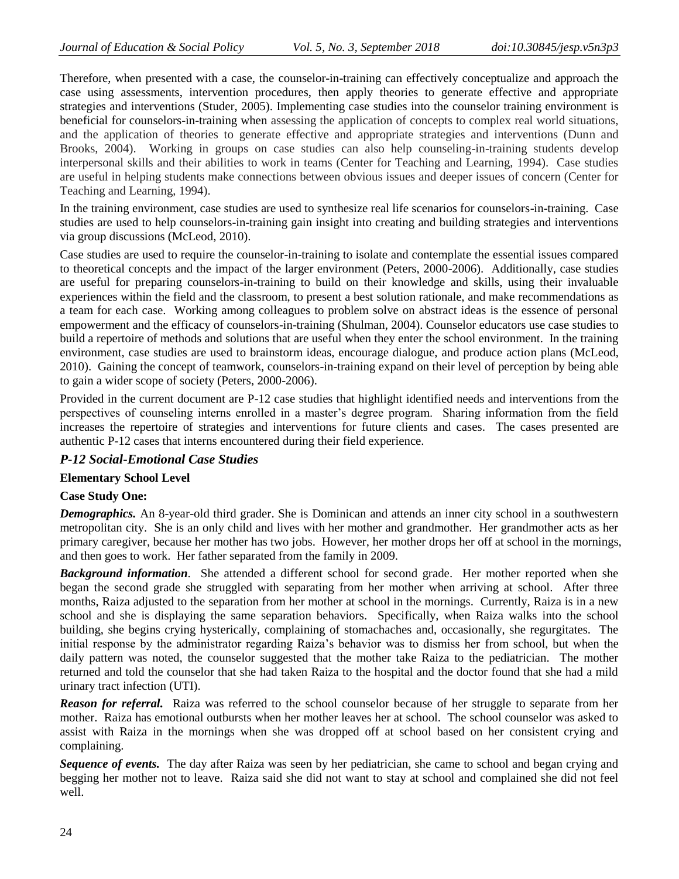Therefore, when presented with a case, the counselor-in-training can effectively conceptualize and approach the case using assessments, intervention procedures, then apply theories to generate effective and appropriate strategies and interventions (Studer, 2005). Implementing case studies into the counselor training environment is beneficial for counselors-in-training when assessing the application of concepts to complex real world situations, and the application of theories to generate effective and appropriate strategies and interventions (Dunn and Brooks, 2004). Working in groups on case studies can also help counseling-in-training students develop interpersonal skills and their abilities to work in teams (Center for Teaching and Learning, 1994). Case studies are useful in helping students make connections between obvious issues and deeper issues of concern (Center for Teaching and Learning, 1994).

In the training environment, case studies are used to synthesize real life scenarios for counselors-in-training. Case studies are used to help counselors-in-training gain insight into creating and building strategies and interventions via group discussions (McLeod, 2010).

Case studies are used to require the counselor-in-training to isolate and contemplate the essential issues compared to theoretical concepts and the impact of the larger environment (Peters, 2000-2006). Additionally, case studies are useful for preparing counselors-in-training to build on their knowledge and skills, using their invaluable experiences within the field and the classroom, to present a best solution rationale, and make recommendations as a team for each case. Working among colleagues to problem solve on abstract ideas is the essence of personal empowerment and the efficacy of counselors-in-training (Shulman, 2004). Counselor educators use case studies to build a repertoire of methods and solutions that are useful when they enter the school environment. In the training environment, case studies are used to brainstorm ideas, encourage dialogue, and produce action plans (McLeod, 2010). Gaining the concept of teamwork, counselors-in-training expand on their level of perception by being able to gain a wider scope of society (Peters, 2000-2006).

Provided in the current document are P-12 case studies that highlight identified needs and interventions from the perspectives of counseling interns enrolled in a master's degree program. Sharing information from the field increases the repertoire of strategies and interventions for future clients and cases. The cases presented are authentic P-12 cases that interns encountered during their field experience.

#### *P-12 Social-Emotional Case Studies*

#### **Elementary School Level**

#### **Case Study One:**

*Demographics.* An 8-year-old third grader. She is Dominican and attends an inner city school in a southwestern metropolitan city. She is an only child and lives with her mother and grandmother. Her grandmother acts as her primary caregiver, because her mother has two jobs. However, her mother drops her off at school in the mornings, and then goes to work. Her father separated from the family in 2009.

*Background information*. She attended a different school for second grade. Her mother reported when she began the second grade she struggled with separating from her mother when arriving at school. After three months, Raiza adjusted to the separation from her mother at school in the mornings. Currently, Raiza is in a new school and she is displaying the same separation behaviors. Specifically, when Raiza walks into the school building, she begins crying hysterically, complaining of stomachaches and, occasionally, she regurgitates. The initial response by the administrator regarding Raiza's behavior was to dismiss her from school, but when the daily pattern was noted, the counselor suggested that the mother take Raiza to the pediatrician. The mother returned and told the counselor that she had taken Raiza to the hospital and the doctor found that she had a mild urinary tract infection (UTI).

*Reason for referral.* Raiza was referred to the school counselor because of her struggle to separate from her mother. Raiza has emotional outbursts when her mother leaves her at school. The school counselor was asked to assist with Raiza in the mornings when she was dropped off at school based on her consistent crying and complaining.

*Sequence of events.* The day after Raiza was seen by her pediatrician, she came to school and began crying and begging her mother not to leave. Raiza said she did not want to stay at school and complained she did not feel well.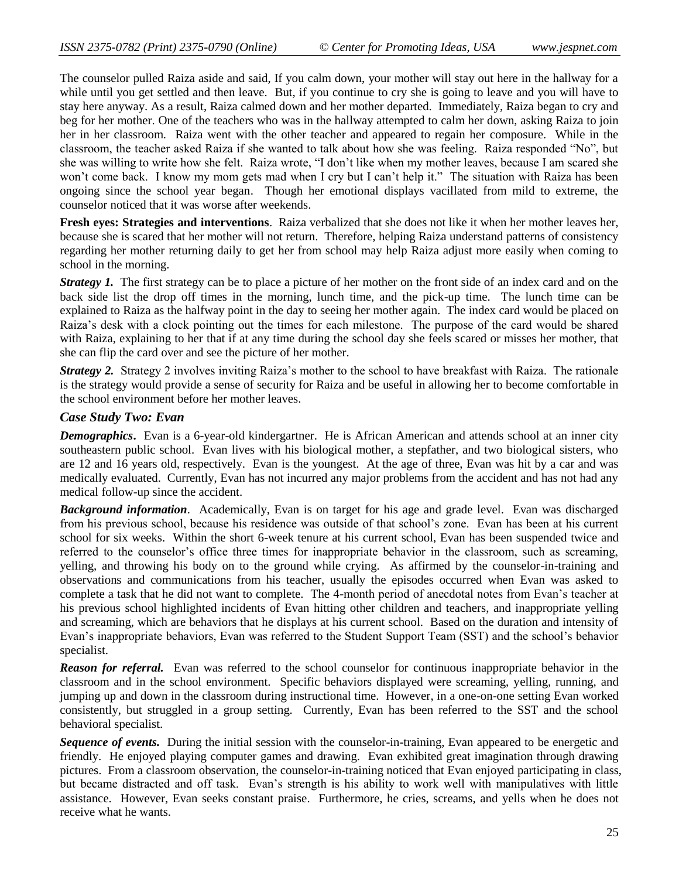The counselor pulled Raiza aside and said, If you calm down, your mother will stay out here in the hallway for a while until you get settled and then leave. But, if you continue to cry she is going to leave and you will have to stay here anyway. As a result, Raiza calmed down and her mother departed. Immediately, Raiza began to cry and beg for her mother. One of the teachers who was in the hallway attempted to calm her down, asking Raiza to join her in her classroom. Raiza went with the other teacher and appeared to regain her composure. While in the classroom, the teacher asked Raiza if she wanted to talk about how she was feeling. Raiza responded "No", but she was willing to write how she felt. Raiza wrote, "I don't like when my mother leaves, because I am scared she won't come back. I know my mom gets mad when I cry but I can't help it." The situation with Raiza has been ongoing since the school year began. Though her emotional displays vacillated from mild to extreme, the counselor noticed that it was worse after weekends.

**Fresh eyes: Strategies and interventions**. Raiza verbalized that she does not like it when her mother leaves her, because she is scared that her mother will not return. Therefore, helping Raiza understand patterns of consistency regarding her mother returning daily to get her from school may help Raiza adjust more easily when coming to school in the morning.

*Strategy 1.* The first strategy can be to place a picture of her mother on the front side of an index card and on the back side list the drop off times in the morning, lunch time, and the pick-up time. The lunch time can be explained to Raiza as the halfway point in the day to seeing her mother again. The index card would be placed on Raiza's desk with a clock pointing out the times for each milestone. The purpose of the card would be shared with Raiza, explaining to her that if at any time during the school day she feels scared or misses her mother, that she can flip the card over and see the picture of her mother.

*Strategy 2.* Strategy 2 involves inviting Raiza's mother to the school to have breakfast with Raiza. The rationale is the strategy would provide a sense of security for Raiza and be useful in allowing her to become comfortable in the school environment before her mother leaves.

#### *Case Study Two: Evan*

*Demographics*. Evan is a 6-year-old kindergartner. He is African American and attends school at an inner city southeastern public school. Evan lives with his biological mother, a stepfather, and two biological sisters, who are 12 and 16 years old, respectively. Evan is the youngest. At the age of three, Evan was hit by a car and was medically evaluated. Currently, Evan has not incurred any major problems from the accident and has not had any medical follow-up since the accident.

*Background information*. Academically, Evan is on target for his age and grade level. Evan was discharged from his previous school, because his residence was outside of that school's zone. Evan has been at his current school for six weeks. Within the short 6-week tenure at his current school, Evan has been suspended twice and referred to the counselor's office three times for inappropriate behavior in the classroom, such as screaming, yelling, and throwing his body on to the ground while crying. As affirmed by the counselor-in-training and observations and communications from his teacher, usually the episodes occurred when Evan was asked to complete a task that he did not want to complete. The 4-month period of anecdotal notes from Evan's teacher at his previous school highlighted incidents of Evan hitting other children and teachers, and inappropriate yelling and screaming, which are behaviors that he displays at his current school. Based on the duration and intensity of Evan's inappropriate behaviors, Evan was referred to the Student Support Team (SST) and the school's behavior specialist.

*Reason for referral.* Evan was referred to the school counselor for continuous inappropriate behavior in the classroom and in the school environment. Specific behaviors displayed were screaming, yelling, running, and jumping up and down in the classroom during instructional time. However, in a one-on-one setting Evan worked consistently, but struggled in a group setting. Currently, Evan has been referred to the SST and the school behavioral specialist.

*Sequence of events.* During the initial session with the counselor-in-training, Evan appeared to be energetic and friendly. He enjoyed playing computer games and drawing. Evan exhibited great imagination through drawing pictures. From a classroom observation, the counselor-in-training noticed that Evan enjoyed participating in class, but became distracted and off task. Evan's strength is his ability to work well with manipulatives with little assistance. However, Evan seeks constant praise. Furthermore, he cries, screams, and yells when he does not receive what he wants.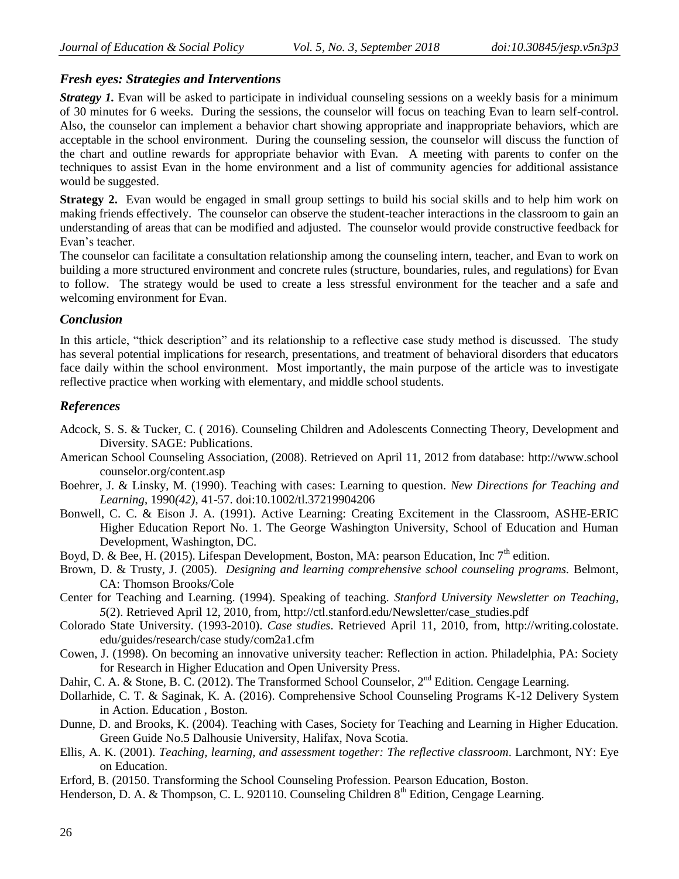# *Fresh eyes: Strategies and Interventions*

*Strategy 1*. Evan will be asked to participate in individual counseling sessions on a weekly basis for a minimum of 30 minutes for 6 weeks. During the sessions, the counselor will focus on teaching Evan to learn self-control. Also, the counselor can implement a behavior chart showing appropriate and inappropriate behaviors, which are acceptable in the school environment. During the counseling session, the counselor will discuss the function of the chart and outline rewards for appropriate behavior with Evan. A meeting with parents to confer on the techniques to assist Evan in the home environment and a list of community agencies for additional assistance would be suggested.

**Strategy 2.** Evan would be engaged in small group settings to build his social skills and to help him work on making friends effectively. The counselor can observe the student-teacher interactions in the classroom to gain an understanding of areas that can be modified and adjusted. The counselor would provide constructive feedback for Evan's teacher.

The counselor can facilitate a consultation relationship among the counseling intern, teacher, and Evan to work on building a more structured environment and concrete rules (structure, boundaries, rules, and regulations) for Evan to follow. The strategy would be used to create a less stressful environment for the teacher and a safe and welcoming environment for Evan.

## *Conclusion*

In this article, "thick description" and its relationship to a reflective case study method is discussed. The study has several potential implications for research, presentations, and treatment of behavioral disorders that educators face daily within the school environment. Most importantly, the main purpose of the article was to investigate reflective practice when working with elementary, and middle school students.

# *References*

- Adcock, S. S. & Tucker, C. ( 2016). Counseling Children and Adolescents Connecting Theory, Development and Diversity. SAGE: Publications.
- American School Counseling Association, (2008). Retrieved on April 11, 2012 from database: http://www.school counselor.org/content.asp
- Boehrer, J. & Linsky, M. (1990). Teaching with cases: Learning to question. *New Directions for Teaching and Learning*, 1990*(42)*, 41-57. doi:10.1002/tl.37219904206
- Bonwell, C. C. & Eison J. A. (1991). Active Learning: Creating Excitement in the Classroom, ASHE-ERIC Higher Education Report No. 1. The George Washington University, School of Education and Human Development, Washington, DC.
- Boyd, D. & Bee, H. (2015). Lifespan Development, Boston, MA: pearson Education, Inc  $7<sup>th</sup>$  edition.
- Brown, D. & Trusty, J. (2005). *Designing and learning comprehensive school counseling programs.* Belmont, CA: Thomson Brooks/Cole
- Center for Teaching and Learning. (1994). Speaking of teaching. *Stanford University Newsletter on Teaching*, *5*(2). Retrieved April 12, 2010, from, [http://ctl.stanford.edu/Newsletter/case\\_studies.pdf](http://ctl.stanford.edu/Newsletter/case_studies.pdf)
- Colorado State University. (1993-2010). *Case studies*. Retrieved April 11, 2010, from, http://writing.colostate. edu/guides/research/case study/com2a1.cfm
- Cowen, J. (1998). On becoming an innovative university teacher: Reflection in action. Philadelphia, PA: Society for Research in Higher Education and Open University Press.
- Dahir, C. A. & Stone, B. C. (2012). The Transformed School Counselor, 2<sup>nd</sup> Edition. Cengage Learning.
- Dollarhide, C. T. & Saginak, K. A. (2016). Comprehensive School Counseling Programs K-12 Delivery System in Action. Education , Boston.
- Dunne, D. and Brooks, K. (2004). Teaching with Cases, Society for Teaching and Learning in Higher Education. Green Guide No.5 Dalhousie University, Halifax, Nova Scotia.
- Ellis, A. K. (2001). *Teaching, learning, and assessment together: The reflective classroom*. Larchmont, NY: Eye on Education.
- Erford, B. (20150. Transforming the School Counseling Profession. Pearson Education, Boston.
- Henderson, D. A. & Thompson, C. L. 920110. Counseling Children 8<sup>th</sup> Edition, Cengage Learning.